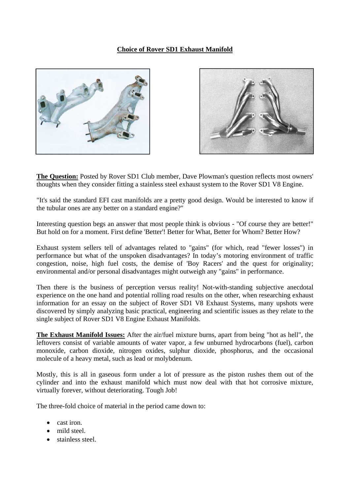## **Choice of Rover SD1 Exhaust Manifold**





**The Question:** Posted by Rover SD1 Club member, Dave Plowman's question reflects most owners' thoughts when they consider fitting a stainless steel exhaust system to the Rover SD1 V8 Engine.

"It's said the standard EFI cast manifolds are a pretty good design. Would be interested to know if the tubular ones are any better on a standard engine?"

Interesting question begs an answer that most people think is obvious - "Of course they are better!" But hold on for a moment. First define 'Better'! Better for What, Better for Whom? Better How?

Exhaust system sellers tell of advantages related to "gains" (for which, read "fewer losses") in performance but what of the unspoken disadvantages? In today's motoring environment of traffic congestion, noise, high fuel costs, the demise of 'Boy Racers' and the quest for originality; environmental and/or personal disadvantages might outweigh any "gains" in performance.

Then there is the business of perception versus reality! Not-with-standing subjective anecdotal experience on the one hand and potential rolling road results on the other, when researching exhaust information for an essay on the subject of Rover SD1 V8 Exhaust Systems, many upshots were discovered by simply analyzing basic practical, engineering and scientific issues as they relate to the single subject of Rover SD1 V8 Engine Exhaust Manifolds.

**The Exhaust Manifold Issues:** After the air/fuel mixture burns, apart from being "hot as hell", the leftovers consist of variable amounts of water vapor, a few unburned hydrocarbons (fuel), carbon monoxide, carbon dioxide, nitrogen oxides, sulphur dioxide, phosphorus, and the occasional molecule of a heavy metal, such as lead or molybdenum.

Mostly, this is all in gaseous form under a lot of pressure as the piston rushes them out of the cylinder and into the exhaust manifold which must now deal with that hot corrosive mixture, virtually forever, without deteriorating. Tough Job!

The three-fold choice of material in the period came down to:

- cast iron.
- mild steel.
- stainless steel.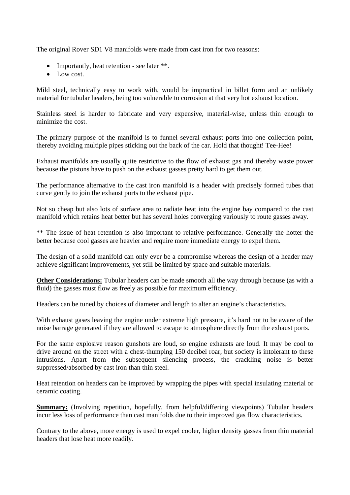The original Rover SD1 V8 manifolds were made from cast iron for two reasons:

- Importantly, heat retention see later \*\*.
- Low cost.

Mild steel, technically easy to work with, would be impractical in billet form and an unlikely material for tubular headers, being too vulnerable to corrosion at that very hot exhaust location.

Stainless steel is harder to fabricate and very expensive, material-wise, unless thin enough to minimize the cost.

The primary purpose of the manifold is to funnel several exhaust ports into one collection point, thereby avoiding multiple pipes sticking out the back of the car. Hold that thought! Tee-Hee!

Exhaust manifolds are usually quite restrictive to the flow of exhaust gas and thereby waste power because the pistons have to push on the exhaust gasses pretty hard to get them out.

The performance alternative to the cast iron manifold is a header with precisely formed tubes that curve gently to join the exhaust ports to the exhaust pipe.

Not so cheap but also lots of surface area to radiate heat into the engine bay compared to the cast manifold which retains heat better but has several holes converging variously to route gasses away.

\*\* The issue of heat retention is also important to relative performance. Generally the hotter the better because cool gasses are heavier and require more immediate energy to expel them.

The design of a solid manifold can only ever be a compromise whereas the design of a header may achieve significant improvements, yet still be limited by space and suitable materials.

**Other Considerations:** Tubular headers can be made smooth all the way through because (as with a fluid) the gasses must flow as freely as possible for maximum efficiency.

Headers can be tuned by choices of diameter and length to alter an engine's characteristics.

With exhaust gases leaving the engine under extreme high pressure, it's hard not to be aware of the noise barrage generated if they are allowed to escape to atmosphere directly from the exhaust ports.

For the same explosive reason gunshots are loud, so engine exhausts are loud. It may be cool to drive around on the street with a chest-thumping 150 decibel roar, but society is intolerant to these intrusions. Apart from the subsequent silencing process, the crackling noise is better suppressed/absorbed by cast iron than thin steel.

Heat retention on headers can be improved by wrapping the pipes with special insulating material or ceramic coating.

**Summary:** (Involving repetition, hopefully, from helpful/differing viewpoints) Tubular headers incur less loss of performance than cast manifolds due to their improved gas flow characteristics.

Contrary to the above, more energy is used to expel cooler, higher density gasses from thin material headers that lose heat more readily.